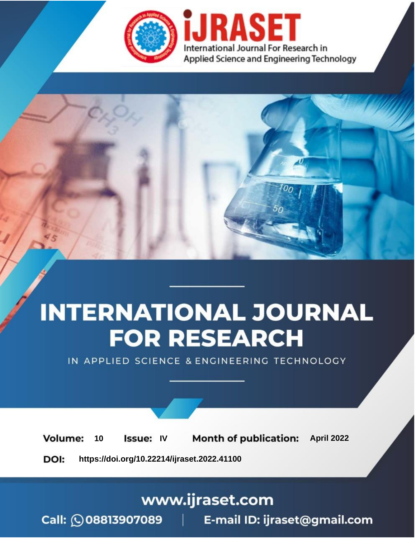

# **INTERNATIONAL JOURNAL FOR RESEARCH**

IN APPLIED SCIENCE & ENGINEERING TECHNOLOGY

10 **Issue: IV Month of publication:** April 2022 **Volume:** 

**https://doi.org/10.22214/ijraset.2022.41100**DOI:

www.ijraset.com

Call: 008813907089 | E-mail ID: ijraset@gmail.com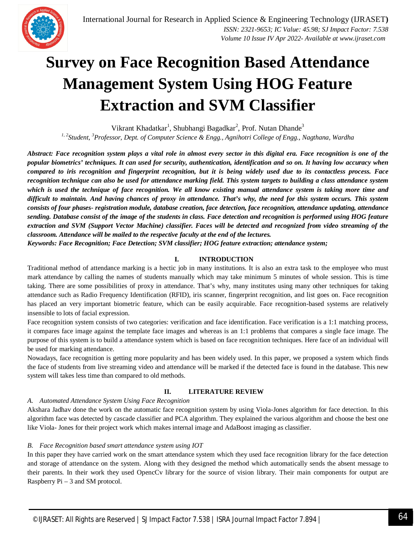

### **Survey on Face Recognition Based Attendance Management System Using HOG Feature Extraction and SVM Classifier**

Vikrant Khadatkar<sup>1</sup>, Shubhangi Bagadkar<sup>2</sup>, Prof. Nutan Dhande<sup>3</sup>

*1, 2Student, <sup>3</sup>Professor, Dept. of Computer Science & Engg., Agnihotri College of Engg., Nagthana, Wardha*

*Abstract: Face recognition system plays a vital role in almost every sector in this digital era. Face recognition is one of the popular biometrics' techniques. It can used for security, authentication, identification and so on. It having low accuracy when compared to iris recognition and fingerprint recognition, but it is being widely used due to its contactless process. Face recognition technique can also be used for attendance marking field. This system targets to building a class attendance system which is used the technique of face recognition. We all know existing manual attendance system is taking more time and difficult to maintain. And having chances of proxy in attendance. That's why, the need for this system occurs. This system consists of four phases- registration module, database creation, face detection, face recognition, attendance updating, attendance sending. Database consist of the image of the students in class. Face detection and recognition is performed using HOG feature extraction and SVM (Support Vector Machine) classifier. Faces will be detected and recognized from video streaming of the classroom. Attendance will be mailed to the respective faculty at the end of the lectures.*

*Keywords: Face Recognition; Face Detection; SVM classifier; HOG feature extraction; attendance system;*

#### **I. INTRODUCTION**

Traditional method of attendance marking is a hectic job in many institutions. It is also an extra task to the employee who must mark attendance by calling the names of students manually which may take minimum 5 minutes of whole session. This is time taking. There are some possibilities of proxy in attendance. That's why, many institutes using many other techniques for taking attendance such as Radio Frequency Identification (RFID), iris scanner, fingerprint recognition, and list goes on. Face recognition has placed an very important biometric feature, which can be easily acquirable. Face recognition-based systems are relatively insensible to lots of facial expression.

Face recognition system consists of two categories: verification and face identification. Face verification is a 1:1 matching process, it compares face image against the template face images and whereas is an 1:1 problems that compares a single face image. The purpose of this system is to build a attendance system which is based on face recognition techniques. Here face of an individual will be used for marking attendance.

Nowadays, face recognition is getting more popularity and has been widely used. In this paper, we proposed a system which finds the face of students from live streaming video and attendance will be marked if the detected face is found in the database. This new system will takes less time than compared to old methods.

#### **II. LITERATURE REVIEW**

#### *A. Automated Attendance System Using Face Recognition*

Akshara Jadhav done the work on the automatic face recognition system by using Viola-Jones algorithm for face detection. In this algorithm face was detected by cascade classifier and PCA algorithm. They explained the various algorithm and choose the best one like Viola- Jones for their project work which makes internal image and AdaBoost imaging as classifier.

#### *B. Face Recognition based smart attendance system using IOT*

In this paper they have carried work on the smart attendance system which they used face recognition library for the face detection and storage of attendance on the system. Along with they designed the method which automatically sends the absent message to their parents. In their work they used OpencCv library for the source of vision library. Their main components for output are Raspberry  $Pi - 3$  and SM protocol.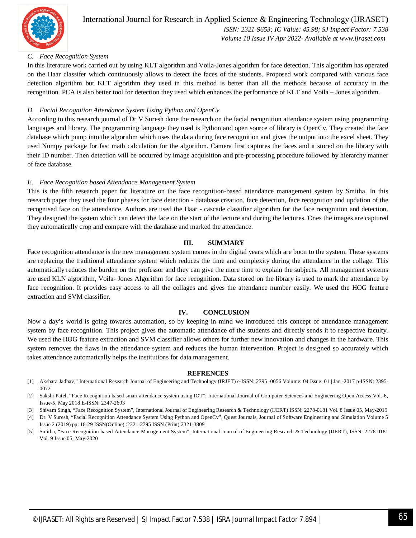

### International Journal for Research in Applied Science & Engineering Technology (IJRASET**)**

 *ISSN: 2321-9653; IC Value: 45.98; SJ Impact Factor: 7.538 Volume 10 Issue IV Apr 2022- Available at www.ijraset.com*

#### *C. Face Recognition System*

In this literature work carried out by using KLT algorithm and Voila-Jones algorithm for face detection. This algorithm has operated on the Haar classifer which continuously allows to detect the faces of the students. Proposed work compared with various face detection algorithm but KLT algorithm they used in this method is better than all the methods because of accuracy in the recognition. PCA is also better tool for detection they used which enhances the performance of KLT and Voila – Jones algorithm.

#### *D. Facial Recognition Attendance System Using Python and OpenCv*

According to this research journal of Dr V Suresh done the research on the facial recognition attendance system using programming languages and library. The programming language they used is Python and open source of library is OpenCv. They created the face database which pump into the algorithm which uses the data during face recognition and gives the output into the excel sheet. They used Numpy package for fast math calculation for the algorithm. Camera first captures the faces and it stored on the library with their ID number. Then detection will be occurred by image acquisition and pre-processing procedure followed by hierarchy manner of face database.

#### *E. Face Recognition based Attendance Management System*

This is the fifth research paper for literature on the face recognition-based attendance management system by Smitha. In this research paper they used the four phases for face detection - database creation, face detection, face recognition and updation of the recognised face on the attendance. Authors are used the Haar - cascade classifier algorithm for the face recognition and detection. They designed the system which can detect the face on the start of the lecture and during the lectures. Ones the images are captured they automatically crop and compare with the database and marked the attendance.

#### **III. SUMMARY**

Face recognition attendance is the new management system comes in the digital years which are boon to the system. These systems are replacing the traditional attendance system which reduces the time and complexity during the attendance in the collage. This automatically reduces the burden on the professor and they can give the more time to explain the subjects. All management systems are used KLN algorithm, Voila- Jones Algorithm for face recognition. Data stored on the library is used to mark the attendance by face recognition. It provides easy access to all the collages and gives the attendance number easily. We used the HOG feature extraction and SVM classifier.

#### **IV. CONCLUSION**

Now a day's world is going towards automation, so by keeping in mind we introduced this concept of attendance management system by face recognition. This project gives the automatic attendance of the students and directly sends it to respective faculty. We used the HOG feature extraction and SVM classifier allows others for further new innovation and changes in the hardware. This system removes the flaws in the attendance system and reduces the human intervention. Project is designed so accurately which takes attendance automatically helps the institutions for data management.

#### **REFRENCES**

- [1] Akshara Jadhav," International Research Journal of Engineering and Technology (IRJET) e-ISSN: 2395 -0056 Volume: 04 Issue: 01 | Jan -2017 p-ISSN: 2395- 0072
- [2] Sakshi Patel, "Face Recognition based smart attendance system using IOT", International Journal of Computer Sciences and Engineering Open Access Vol.-6, Issue-5, May 2018 E-ISSN: 2347-2693
- [3] Shivam Singh, "Face Recognition System", International Journal of Engineering Research & Technology (IJERT) ISSN: 2278-0181 Vol. 8 Issue 05, May-2019
- [4] Dr. V Suresh, "Facial Recognition Attendance System Using Python and OpenCv", Quest Journals, Journal of Software Engineering and Simulation Volume 5 Issue 2 (2019) pp: 18-29 ISSN(Online) :2321-3795 ISSN (Print):2321-3809
- [5] Smitha, "Face Recognition based Attendance Management System", International Journal of Engineering Research & Technology (IJERT), ISSN: 2278-0181 Vol. 9 Issue 05, May-2020